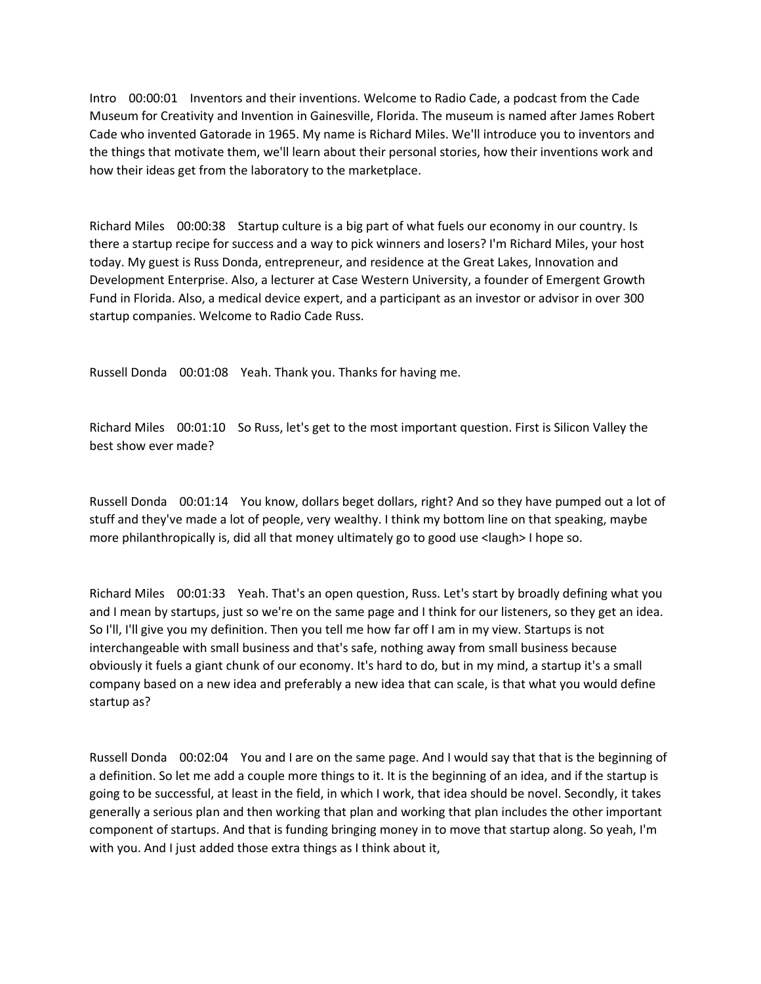Intro 00:00:01 Inventors and their inventions. Welcome to Radio Cade, a podcast from the Cade Museum for Creativity and Invention in Gainesville, Florida. The museum is named after James Robert Cade who invented Gatorade in 1965. My name is Richard Miles. We'll introduce you to inventors and the things that motivate them, we'll learn about their personal stories, how their inventions work and how their ideas get from the laboratory to the marketplace.

Richard Miles 00:00:38 Startup culture is a big part of what fuels our economy in our country. Is there a startup recipe for success and a way to pick winners and losers? I'm Richard Miles, your host today. My guest is Russ Donda, entrepreneur, and residence at the Great Lakes, Innovation and Development Enterprise. Also, a lecturer at Case Western University, a founder of Emergent Growth Fund in Florida. Also, a medical device expert, and a participant as an investor or advisor in over 300 startup companies. Welcome to Radio Cade Russ.

Russell Donda 00:01:08 Yeah. Thank you. Thanks for having me.

Richard Miles 00:01:10 So Russ, let's get to the most important question. First is Silicon Valley the best show ever made?

Russell Donda 00:01:14 You know, dollars beget dollars, right? And so they have pumped out a lot of stuff and they've made a lot of people, very wealthy. I think my bottom line on that speaking, maybe more philanthropically is, did all that money ultimately go to good use <laugh> I hope so.

Richard Miles 00:01:33 Yeah. That's an open question, Russ. Let's start by broadly defining what you and I mean by startups, just so we're on the same page and I think for our listeners, so they get an idea. So I'll, I'll give you my definition. Then you tell me how far off I am in my view. Startups is not interchangeable with small business and that's safe, nothing away from small business because obviously it fuels a giant chunk of our economy. It's hard to do, but in my mind, a startup it's a small company based on a new idea and preferably a new idea that can scale, is that what you would define startup as?

Russell Donda 00:02:04 You and I are on the same page. And I would say that that is the beginning of a definition. So let me add a couple more things to it. It is the beginning of an idea, and if the startup is going to be successful, at least in the field, in which I work, that idea should be novel. Secondly, it takes generally a serious plan and then working that plan and working that plan includes the other important component of startups. And that is funding bringing money in to move that startup along. So yeah, I'm with you. And I just added those extra things as I think about it,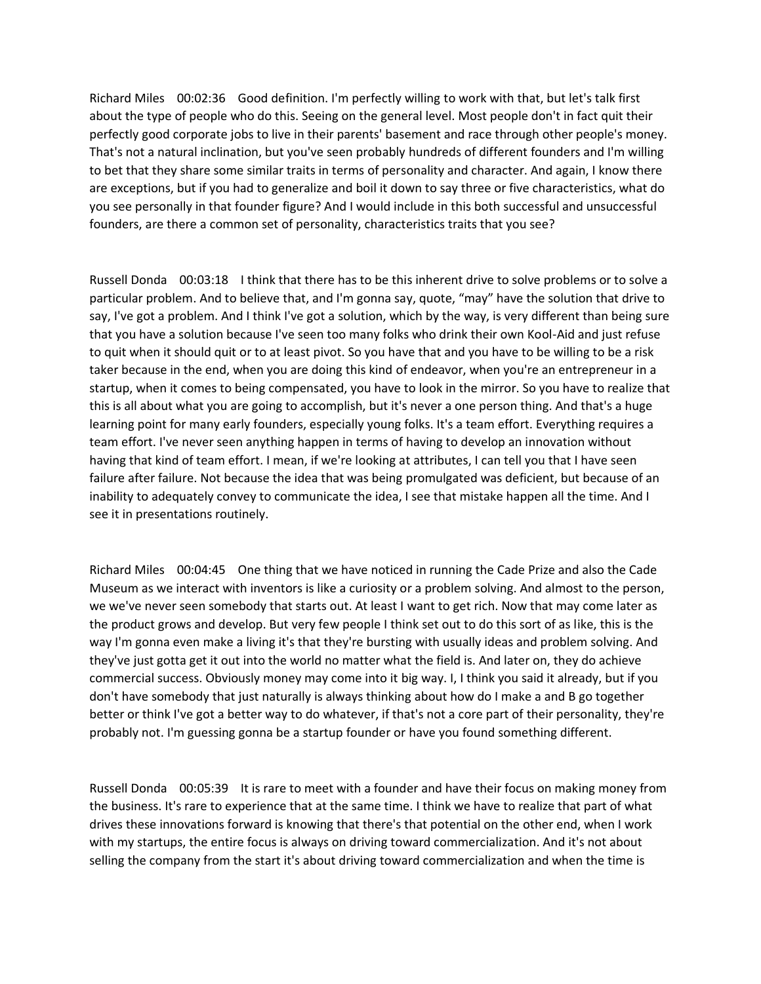Richard Miles 00:02:36 Good definition. I'm perfectly willing to work with that, but let's talk first about the type of people who do this. Seeing on the general level. Most people don't in fact quit their perfectly good corporate jobs to live in their parents' basement and race through other people's money. That's not a natural inclination, but you've seen probably hundreds of different founders and I'm willing to bet that they share some similar traits in terms of personality and character. And again, I know there are exceptions, but if you had to generalize and boil it down to say three or five characteristics, what do you see personally in that founder figure? And I would include in this both successful and unsuccessful founders, are there a common set of personality, characteristics traits that you see?

Russell Donda 00:03:18 I think that there has to be this inherent drive to solve problems or to solve a particular problem. And to believe that, and I'm gonna say, quote, "may" have the solution that drive to say, I've got a problem. And I think I've got a solution, which by the way, is very different than being sure that you have a solution because I've seen too many folks who drink their own Kool-Aid and just refuse to quit when it should quit or to at least pivot. So you have that and you have to be willing to be a risk taker because in the end, when you are doing this kind of endeavor, when you're an entrepreneur in a startup, when it comes to being compensated, you have to look in the mirror. So you have to realize that this is all about what you are going to accomplish, but it's never a one person thing. And that's a huge learning point for many early founders, especially young folks. It's a team effort. Everything requires a team effort. I've never seen anything happen in terms of having to develop an innovation without having that kind of team effort. I mean, if we're looking at attributes, I can tell you that I have seen failure after failure. Not because the idea that was being promulgated was deficient, but because of an inability to adequately convey to communicate the idea, I see that mistake happen all the time. And I see it in presentations routinely.

Richard Miles 00:04:45 One thing that we have noticed in running the Cade Prize and also the Cade Museum as we interact with inventors is like a curiosity or a problem solving. And almost to the person, we we've never seen somebody that starts out. At least I want to get rich. Now that may come later as the product grows and develop. But very few people I think set out to do this sort of as like, this is the way I'm gonna even make a living it's that they're bursting with usually ideas and problem solving. And they've just gotta get it out into the world no matter what the field is. And later on, they do achieve commercial success. Obviously money may come into it big way. I, I think you said it already, but if you don't have somebody that just naturally is always thinking about how do I make a and B go together better or think I've got a better way to do whatever, if that's not a core part of their personality, they're probably not. I'm guessing gonna be a startup founder or have you found something different.

Russell Donda 00:05:39 It is rare to meet with a founder and have their focus on making money from the business. It's rare to experience that at the same time. I think we have to realize that part of what drives these innovations forward is knowing that there's that potential on the other end, when I work with my startups, the entire focus is always on driving toward commercialization. And it's not about selling the company from the start it's about driving toward commercialization and when the time is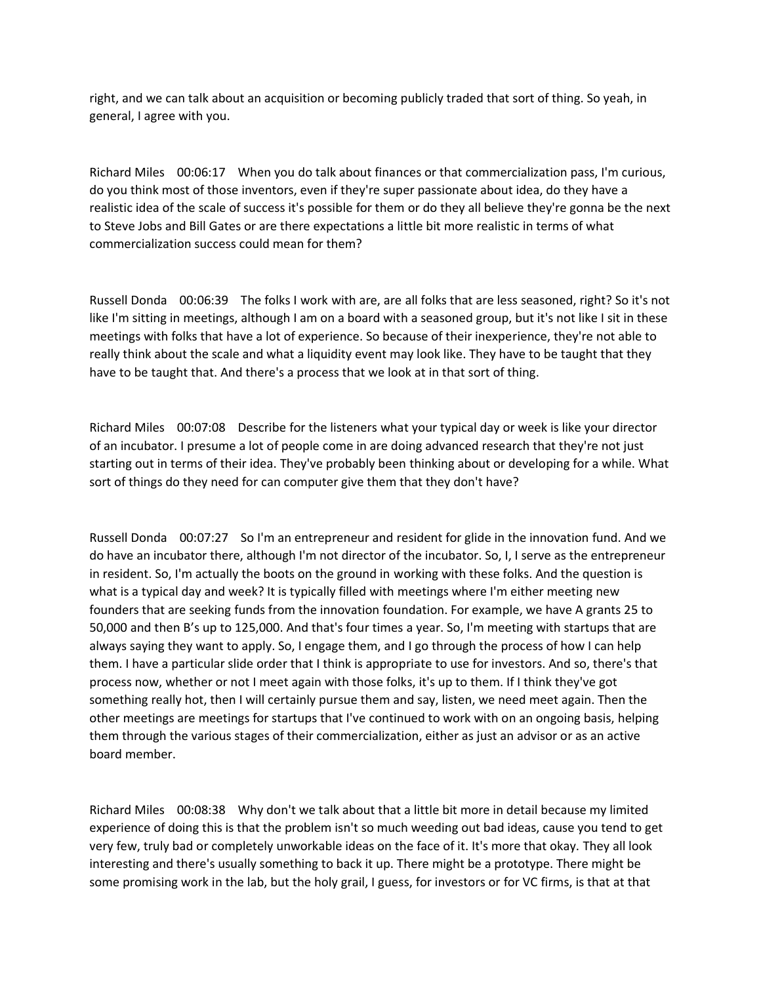right, and we can talk about an acquisition or becoming publicly traded that sort of thing. So yeah, in general, I agree with you.

Richard Miles 00:06:17 When you do talk about finances or that commercialization pass, I'm curious, do you think most of those inventors, even if they're super passionate about idea, do they have a realistic idea of the scale of success it's possible for them or do they all believe they're gonna be the next to Steve Jobs and Bill Gates or are there expectations a little bit more realistic in terms of what commercialization success could mean for them?

Russell Donda 00:06:39 The folks I work with are, are all folks that are less seasoned, right? So it's not like I'm sitting in meetings, although I am on a board with a seasoned group, but it's not like I sit in these meetings with folks that have a lot of experience. So because of their inexperience, they're not able to really think about the scale and what a liquidity event may look like. They have to be taught that they have to be taught that. And there's a process that we look at in that sort of thing.

Richard Miles 00:07:08 Describe for the listeners what your typical day or week is like your director of an incubator. I presume a lot of people come in are doing advanced research that they're not just starting out in terms of their idea. They've probably been thinking about or developing for a while. What sort of things do they need for can computer give them that they don't have?

Russell Donda 00:07:27 So I'm an entrepreneur and resident for glide in the innovation fund. And we do have an incubator there, although I'm not director of the incubator. So, I, I serve as the entrepreneur in resident. So, I'm actually the boots on the ground in working with these folks. And the question is what is a typical day and week? It is typically filled with meetings where I'm either meeting new founders that are seeking funds from the innovation foundation. For example, we have A grants 25 to 50,000 and then B's up to 125,000. And that's four times a year. So, I'm meeting with startups that are always saying they want to apply. So, I engage them, and I go through the process of how I can help them. I have a particular slide order that I think is appropriate to use for investors. And so, there's that process now, whether or not I meet again with those folks, it's up to them. If I think they've got something really hot, then I will certainly pursue them and say, listen, we need meet again. Then the other meetings are meetings for startups that I've continued to work with on an ongoing basis, helping them through the various stages of their commercialization, either as just an advisor or as an active board member.

Richard Miles 00:08:38 Why don't we talk about that a little bit more in detail because my limited experience of doing this is that the problem isn't so much weeding out bad ideas, cause you tend to get very few, truly bad or completely unworkable ideas on the face of it. It's more that okay. They all look interesting and there's usually something to back it up. There might be a prototype. There might be some promising work in the lab, but the holy grail, I guess, for investors or for VC firms, is that at that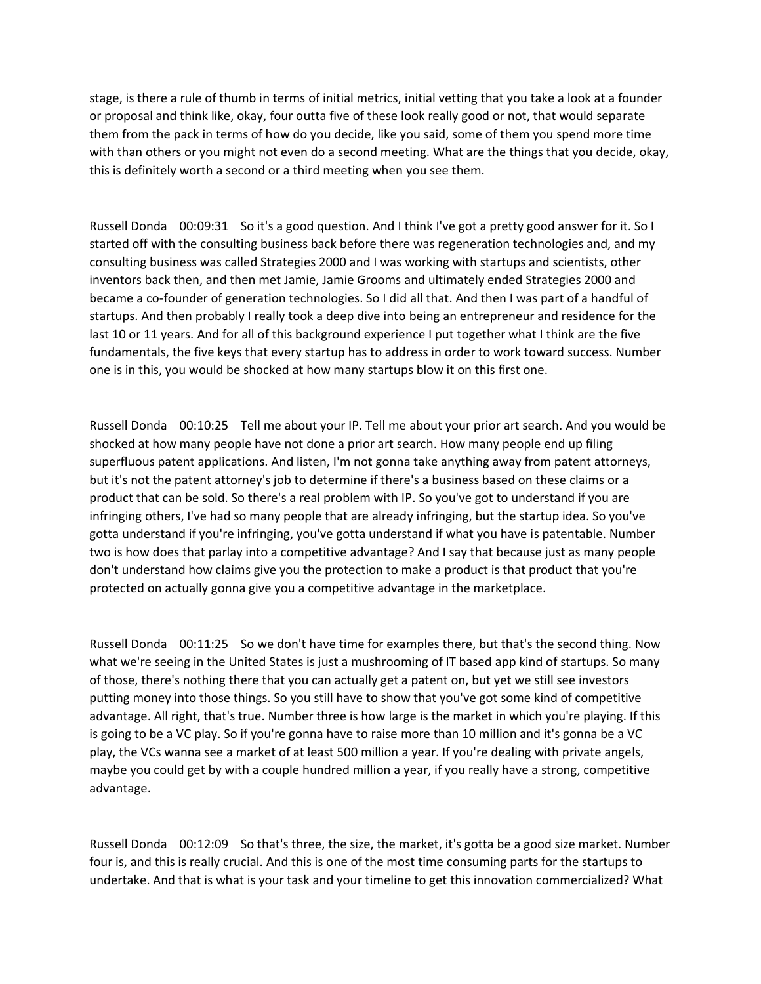stage, is there a rule of thumb in terms of initial metrics, initial vetting that you take a look at a founder or proposal and think like, okay, four outta five of these look really good or not, that would separate them from the pack in terms of how do you decide, like you said, some of them you spend more time with than others or you might not even do a second meeting. What are the things that you decide, okay, this is definitely worth a second or a third meeting when you see them.

Russell Donda 00:09:31 So it's a good question. And I think I've got a pretty good answer for it. So I started off with the consulting business back before there was regeneration technologies and, and my consulting business was called Strategies 2000 and I was working with startups and scientists, other inventors back then, and then met Jamie, Jamie Grooms and ultimately ended Strategies 2000 and became a co-founder of generation technologies. So I did all that. And then I was part of a handful of startups. And then probably I really took a deep dive into being an entrepreneur and residence for the last 10 or 11 years. And for all of this background experience I put together what I think are the five fundamentals, the five keys that every startup has to address in order to work toward success. Number one is in this, you would be shocked at how many startups blow it on this first one.

Russell Donda 00:10:25 Tell me about your IP. Tell me about your prior art search. And you would be shocked at how many people have not done a prior art search. How many people end up filing superfluous patent applications. And listen, I'm not gonna take anything away from patent attorneys, but it's not the patent attorney's job to determine if there's a business based on these claims or a product that can be sold. So there's a real problem with IP. So you've got to understand if you are infringing others, I've had so many people that are already infringing, but the startup idea. So you've gotta understand if you're infringing, you've gotta understand if what you have is patentable. Number two is how does that parlay into a competitive advantage? And I say that because just as many people don't understand how claims give you the protection to make a product is that product that you're protected on actually gonna give you a competitive advantage in the marketplace.

Russell Donda 00:11:25 So we don't have time for examples there, but that's the second thing. Now what we're seeing in the United States is just a mushrooming of IT based app kind of startups. So many of those, there's nothing there that you can actually get a patent on, but yet we still see investors putting money into those things. So you still have to show that you've got some kind of competitive advantage. All right, that's true. Number three is how large is the market in which you're playing. If this is going to be a VC play. So if you're gonna have to raise more than 10 million and it's gonna be a VC play, the VCs wanna see a market of at least 500 million a year. If you're dealing with private angels, maybe you could get by with a couple hundred million a year, if you really have a strong, competitive advantage.

Russell Donda 00:12:09 So that's three, the size, the market, it's gotta be a good size market. Number four is, and this is really crucial. And this is one of the most time consuming parts for the startups to undertake. And that is what is your task and your timeline to get this innovation commercialized? What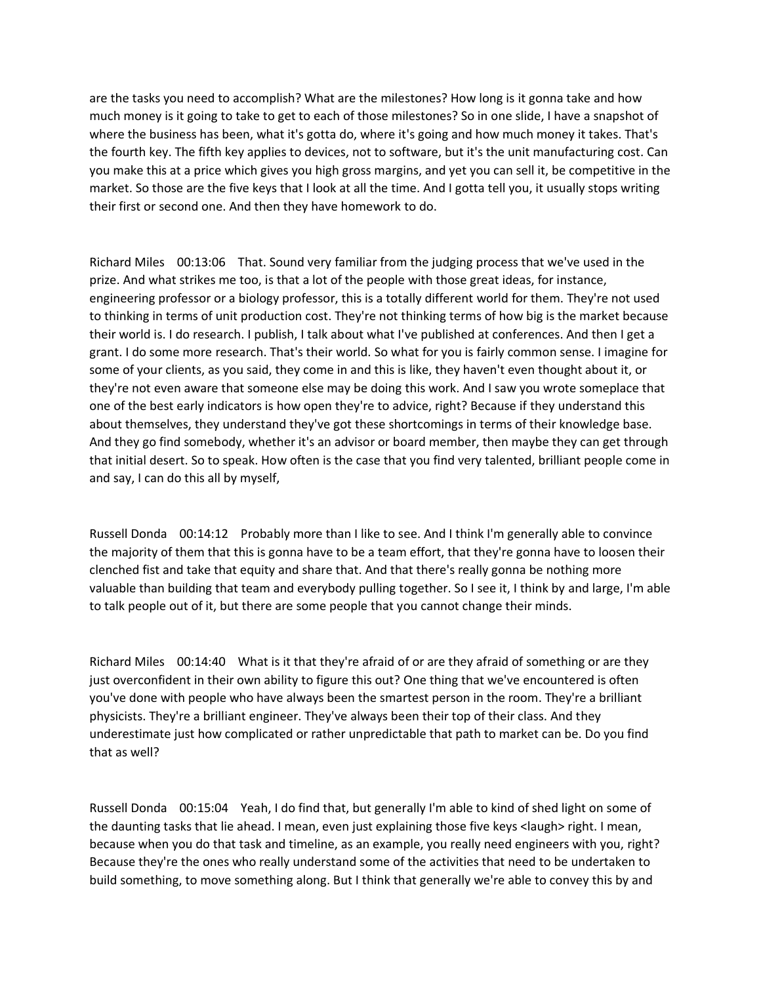are the tasks you need to accomplish? What are the milestones? How long is it gonna take and how much money is it going to take to get to each of those milestones? So in one slide, I have a snapshot of where the business has been, what it's gotta do, where it's going and how much money it takes. That's the fourth key. The fifth key applies to devices, not to software, but it's the unit manufacturing cost. Can you make this at a price which gives you high gross margins, and yet you can sell it, be competitive in the market. So those are the five keys that I look at all the time. And I gotta tell you, it usually stops writing their first or second one. And then they have homework to do.

Richard Miles 00:13:06 That. Sound very familiar from the judging process that we've used in the prize. And what strikes me too, is that a lot of the people with those great ideas, for instance, engineering professor or a biology professor, this is a totally different world for them. They're not used to thinking in terms of unit production cost. They're not thinking terms of how big is the market because their world is. I do research. I publish, I talk about what I've published at conferences. And then I get a grant. I do some more research. That's their world. So what for you is fairly common sense. I imagine for some of your clients, as you said, they come in and this is like, they haven't even thought about it, or they're not even aware that someone else may be doing this work. And I saw you wrote someplace that one of the best early indicators is how open they're to advice, right? Because if they understand this about themselves, they understand they've got these shortcomings in terms of their knowledge base. And they go find somebody, whether it's an advisor or board member, then maybe they can get through that initial desert. So to speak. How often is the case that you find very talented, brilliant people come in and say, I can do this all by myself,

Russell Donda 00:14:12 Probably more than I like to see. And I think I'm generally able to convince the majority of them that this is gonna have to be a team effort, that they're gonna have to loosen their clenched fist and take that equity and share that. And that there's really gonna be nothing more valuable than building that team and everybody pulling together. So I see it, I think by and large, I'm able to talk people out of it, but there are some people that you cannot change their minds.

Richard Miles 00:14:40 What is it that they're afraid of or are they afraid of something or are they just overconfident in their own ability to figure this out? One thing that we've encountered is often you've done with people who have always been the smartest person in the room. They're a brilliant physicists. They're a brilliant engineer. They've always been their top of their class. And they underestimate just how complicated or rather unpredictable that path to market can be. Do you find that as well?

Russell Donda 00:15:04 Yeah, I do find that, but generally I'm able to kind of shed light on some of the daunting tasks that lie ahead. I mean, even just explaining those five keys <laugh> right. I mean, because when you do that task and timeline, as an example, you really need engineers with you, right? Because they're the ones who really understand some of the activities that need to be undertaken to build something, to move something along. But I think that generally we're able to convey this by and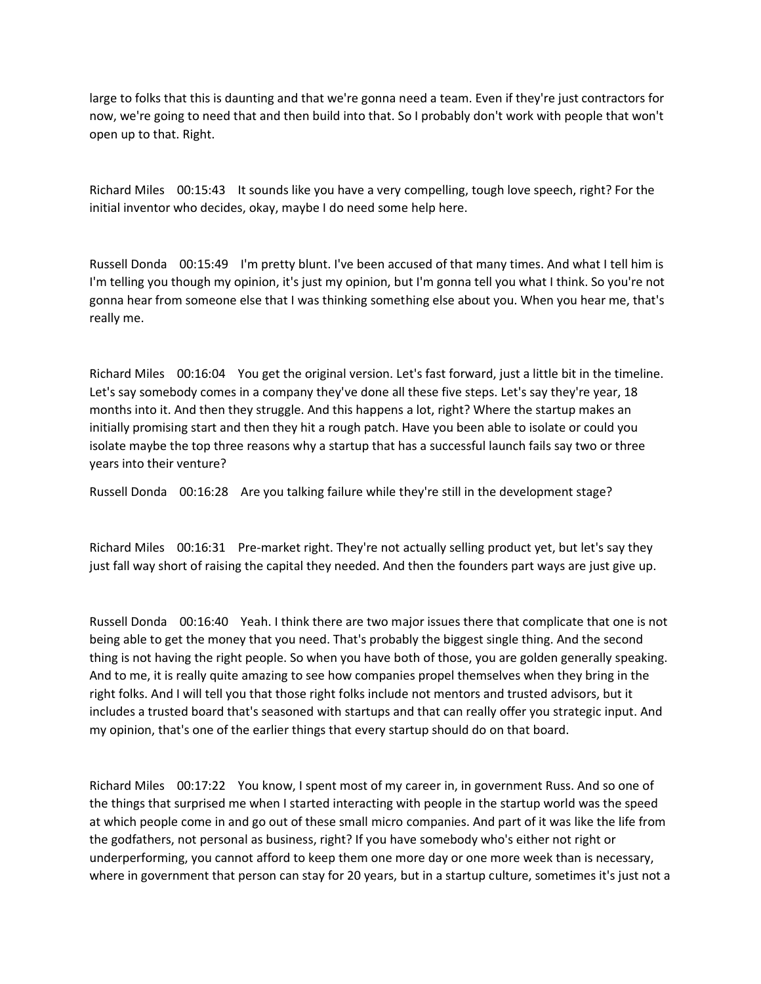large to folks that this is daunting and that we're gonna need a team. Even if they're just contractors for now, we're going to need that and then build into that. So I probably don't work with people that won't open up to that. Right.

Richard Miles 00:15:43 It sounds like you have a very compelling, tough love speech, right? For the initial inventor who decides, okay, maybe I do need some help here.

Russell Donda 00:15:49 I'm pretty blunt. I've been accused of that many times. And what I tell him is I'm telling you though my opinion, it's just my opinion, but I'm gonna tell you what I think. So you're not gonna hear from someone else that I was thinking something else about you. When you hear me, that's really me.

Richard Miles 00:16:04 You get the original version. Let's fast forward, just a little bit in the timeline. Let's say somebody comes in a company they've done all these five steps. Let's say they're year, 18 months into it. And then they struggle. And this happens a lot, right? Where the startup makes an initially promising start and then they hit a rough patch. Have you been able to isolate or could you isolate maybe the top three reasons why a startup that has a successful launch fails say two or three years into their venture?

Russell Donda 00:16:28 Are you talking failure while they're still in the development stage?

Richard Miles 00:16:31 Pre-market right. They're not actually selling product yet, but let's say they just fall way short of raising the capital they needed. And then the founders part ways are just give up.

Russell Donda 00:16:40 Yeah. I think there are two major issues there that complicate that one is not being able to get the money that you need. That's probably the biggest single thing. And the second thing is not having the right people. So when you have both of those, you are golden generally speaking. And to me, it is really quite amazing to see how companies propel themselves when they bring in the right folks. And I will tell you that those right folks include not mentors and trusted advisors, but it includes a trusted board that's seasoned with startups and that can really offer you strategic input. And my opinion, that's one of the earlier things that every startup should do on that board.

Richard Miles 00:17:22 You know, I spent most of my career in, in government Russ. And so one of the things that surprised me when I started interacting with people in the startup world was the speed at which people come in and go out of these small micro companies. And part of it was like the life from the godfathers, not personal as business, right? If you have somebody who's either not right or underperforming, you cannot afford to keep them one more day or one more week than is necessary, where in government that person can stay for 20 years, but in a startup culture, sometimes it's just not a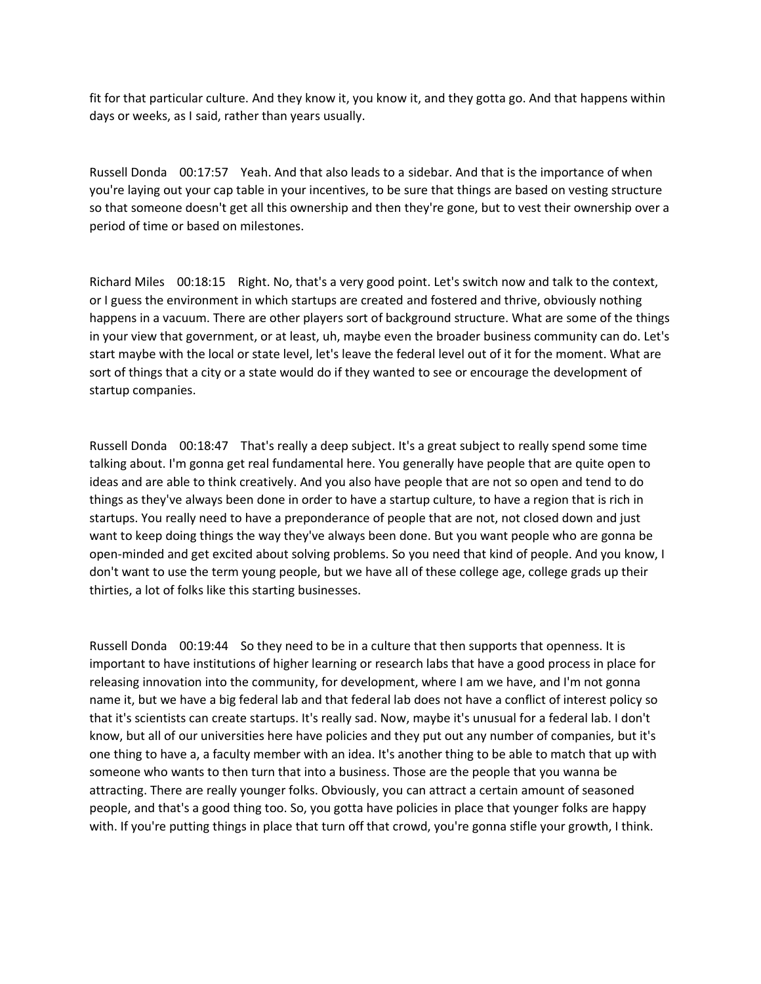fit for that particular culture. And they know it, you know it, and they gotta go. And that happens within days or weeks, as I said, rather than years usually.

Russell Donda 00:17:57 Yeah. And that also leads to a sidebar. And that is the importance of when you're laying out your cap table in your incentives, to be sure that things are based on vesting structure so that someone doesn't get all this ownership and then they're gone, but to vest their ownership over a period of time or based on milestones.

Richard Miles 00:18:15 Right. No, that's a very good point. Let's switch now and talk to the context, or I guess the environment in which startups are created and fostered and thrive, obviously nothing happens in a vacuum. There are other players sort of background structure. What are some of the things in your view that government, or at least, uh, maybe even the broader business community can do. Let's start maybe with the local or state level, let's leave the federal level out of it for the moment. What are sort of things that a city or a state would do if they wanted to see or encourage the development of startup companies.

Russell Donda 00:18:47 That's really a deep subject. It's a great subject to really spend some time talking about. I'm gonna get real fundamental here. You generally have people that are quite open to ideas and are able to think creatively. And you also have people that are not so open and tend to do things as they've always been done in order to have a startup culture, to have a region that is rich in startups. You really need to have a preponderance of people that are not, not closed down and just want to keep doing things the way they've always been done. But you want people who are gonna be open-minded and get excited about solving problems. So you need that kind of people. And you know, I don't want to use the term young people, but we have all of these college age, college grads up their thirties, a lot of folks like this starting businesses.

Russell Donda 00:19:44 So they need to be in a culture that then supports that openness. It is important to have institutions of higher learning or research labs that have a good process in place for releasing innovation into the community, for development, where I am we have, and I'm not gonna name it, but we have a big federal lab and that federal lab does not have a conflict of interest policy so that it's scientists can create startups. It's really sad. Now, maybe it's unusual for a federal lab. I don't know, but all of our universities here have policies and they put out any number of companies, but it's one thing to have a, a faculty member with an idea. It's another thing to be able to match that up with someone who wants to then turn that into a business. Those are the people that you wanna be attracting. There are really younger folks. Obviously, you can attract a certain amount of seasoned people, and that's a good thing too. So, you gotta have policies in place that younger folks are happy with. If you're putting things in place that turn off that crowd, you're gonna stifle your growth, I think.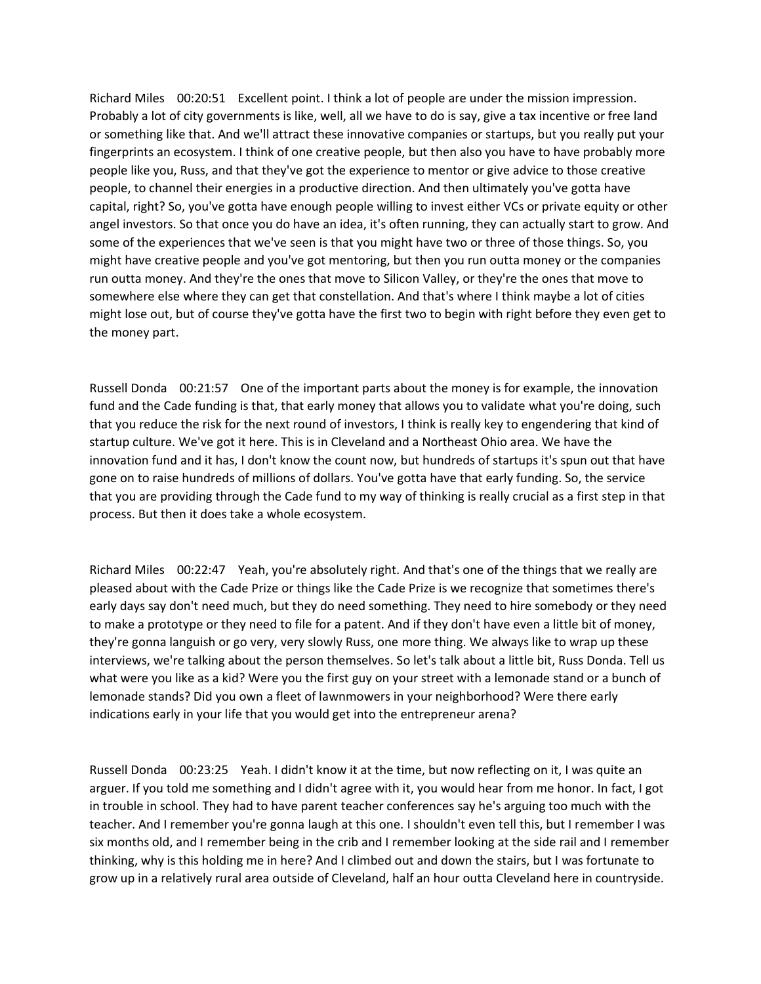Richard Miles 00:20:51 Excellent point. I think a lot of people are under the mission impression. Probably a lot of city governments is like, well, all we have to do is say, give a tax incentive or free land or something like that. And we'll attract these innovative companies or startups, but you really put your fingerprints an ecosystem. I think of one creative people, but then also you have to have probably more people like you, Russ, and that they've got the experience to mentor or give advice to those creative people, to channel their energies in a productive direction. And then ultimately you've gotta have capital, right? So, you've gotta have enough people willing to invest either VCs or private equity or other angel investors. So that once you do have an idea, it's often running, they can actually start to grow. And some of the experiences that we've seen is that you might have two or three of those things. So, you might have creative people and you've got mentoring, but then you run outta money or the companies run outta money. And they're the ones that move to Silicon Valley, or they're the ones that move to somewhere else where they can get that constellation. And that's where I think maybe a lot of cities might lose out, but of course they've gotta have the first two to begin with right before they even get to the money part.

Russell Donda 00:21:57 One of the important parts about the money is for example, the innovation fund and the Cade funding is that, that early money that allows you to validate what you're doing, such that you reduce the risk for the next round of investors, I think is really key to engendering that kind of startup culture. We've got it here. This is in Cleveland and a Northeast Ohio area. We have the innovation fund and it has, I don't know the count now, but hundreds of startups it's spun out that have gone on to raise hundreds of millions of dollars. You've gotta have that early funding. So, the service that you are providing through the Cade fund to my way of thinking is really crucial as a first step in that process. But then it does take a whole ecosystem.

Richard Miles 00:22:47 Yeah, you're absolutely right. And that's one of the things that we really are pleased about with the Cade Prize or things like the Cade Prize is we recognize that sometimes there's early days say don't need much, but they do need something. They need to hire somebody or they need to make a prototype or they need to file for a patent. And if they don't have even a little bit of money, they're gonna languish or go very, very slowly Russ, one more thing. We always like to wrap up these interviews, we're talking about the person themselves. So let's talk about a little bit, Russ Donda. Tell us what were you like as a kid? Were you the first guy on your street with a lemonade stand or a bunch of lemonade stands? Did you own a fleet of lawnmowers in your neighborhood? Were there early indications early in your life that you would get into the entrepreneur arena?

Russell Donda 00:23:25 Yeah. I didn't know it at the time, but now reflecting on it, I was quite an arguer. If you told me something and I didn't agree with it, you would hear from me honor. In fact, I got in trouble in school. They had to have parent teacher conferences say he's arguing too much with the teacher. And I remember you're gonna laugh at this one. I shouldn't even tell this, but I remember I was six months old, and I remember being in the crib and I remember looking at the side rail and I remember thinking, why is this holding me in here? And I climbed out and down the stairs, but I was fortunate to grow up in a relatively rural area outside of Cleveland, half an hour outta Cleveland here in countryside.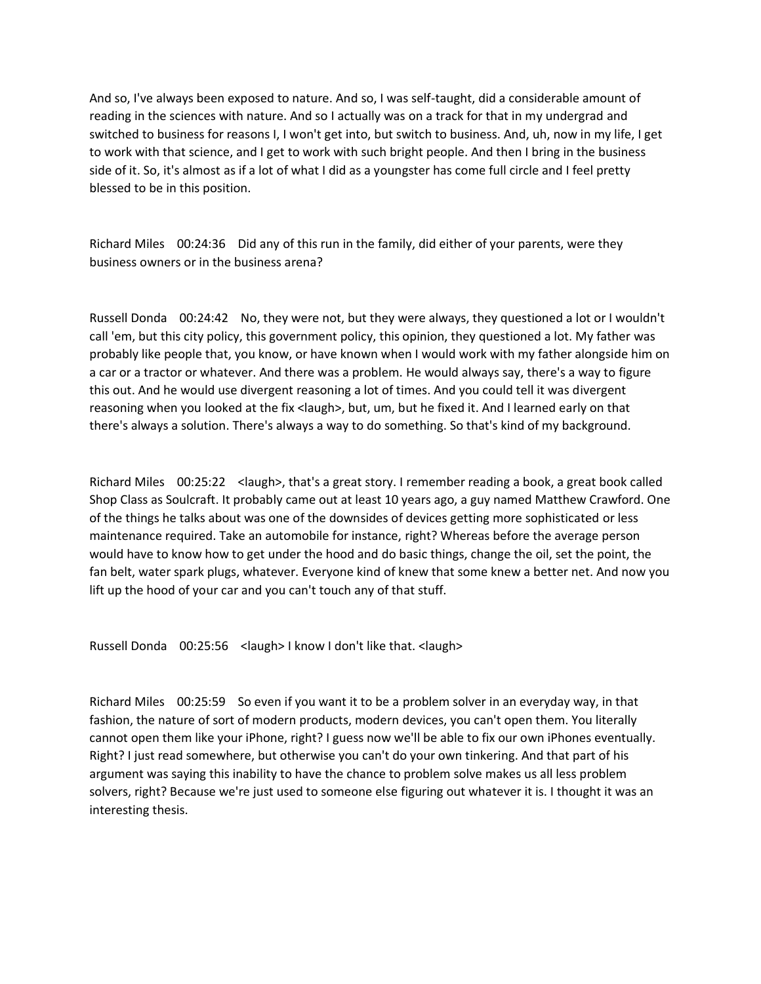And so, I've always been exposed to nature. And so, I was self-taught, did a considerable amount of reading in the sciences with nature. And so I actually was on a track for that in my undergrad and switched to business for reasons I, I won't get into, but switch to business. And, uh, now in my life, I get to work with that science, and I get to work with such bright people. And then I bring in the business side of it. So, it's almost as if a lot of what I did as a youngster has come full circle and I feel pretty blessed to be in this position.

Richard Miles 00:24:36 Did any of this run in the family, did either of your parents, were they business owners or in the business arena?

Russell Donda 00:24:42 No, they were not, but they were always, they questioned a lot or I wouldn't call 'em, but this city policy, this government policy, this opinion, they questioned a lot. My father was probably like people that, you know, or have known when I would work with my father alongside him on a car or a tractor or whatever. And there was a problem. He would always say, there's a way to figure this out. And he would use divergent reasoning a lot of times. And you could tell it was divergent reasoning when you looked at the fix < laugh>, but, um, but he fixed it. And I learned early on that there's always a solution. There's always a way to do something. So that's kind of my background.

Richard Miles 00:25:22 <laugh>, that's a great story. I remember reading a book, a great book called Shop Class as Soulcraft. It probably came out at least 10 years ago, a guy named Matthew Crawford. One of the things he talks about was one of the downsides of devices getting more sophisticated or less maintenance required. Take an automobile for instance, right? Whereas before the average person would have to know how to get under the hood and do basic things, change the oil, set the point, the fan belt, water spark plugs, whatever. Everyone kind of knew that some knew a better net. And now you lift up the hood of your car and you can't touch any of that stuff.

Russell Donda 00:25:56 <laugh> I know I don't like that. <laugh>

Richard Miles 00:25:59 So even if you want it to be a problem solver in an everyday way, in that fashion, the nature of sort of modern products, modern devices, you can't open them. You literally cannot open them like your iPhone, right? I guess now we'll be able to fix our own iPhones eventually. Right? I just read somewhere, but otherwise you can't do your own tinkering. And that part of his argument was saying this inability to have the chance to problem solve makes us all less problem solvers, right? Because we're just used to someone else figuring out whatever it is. I thought it was an interesting thesis.